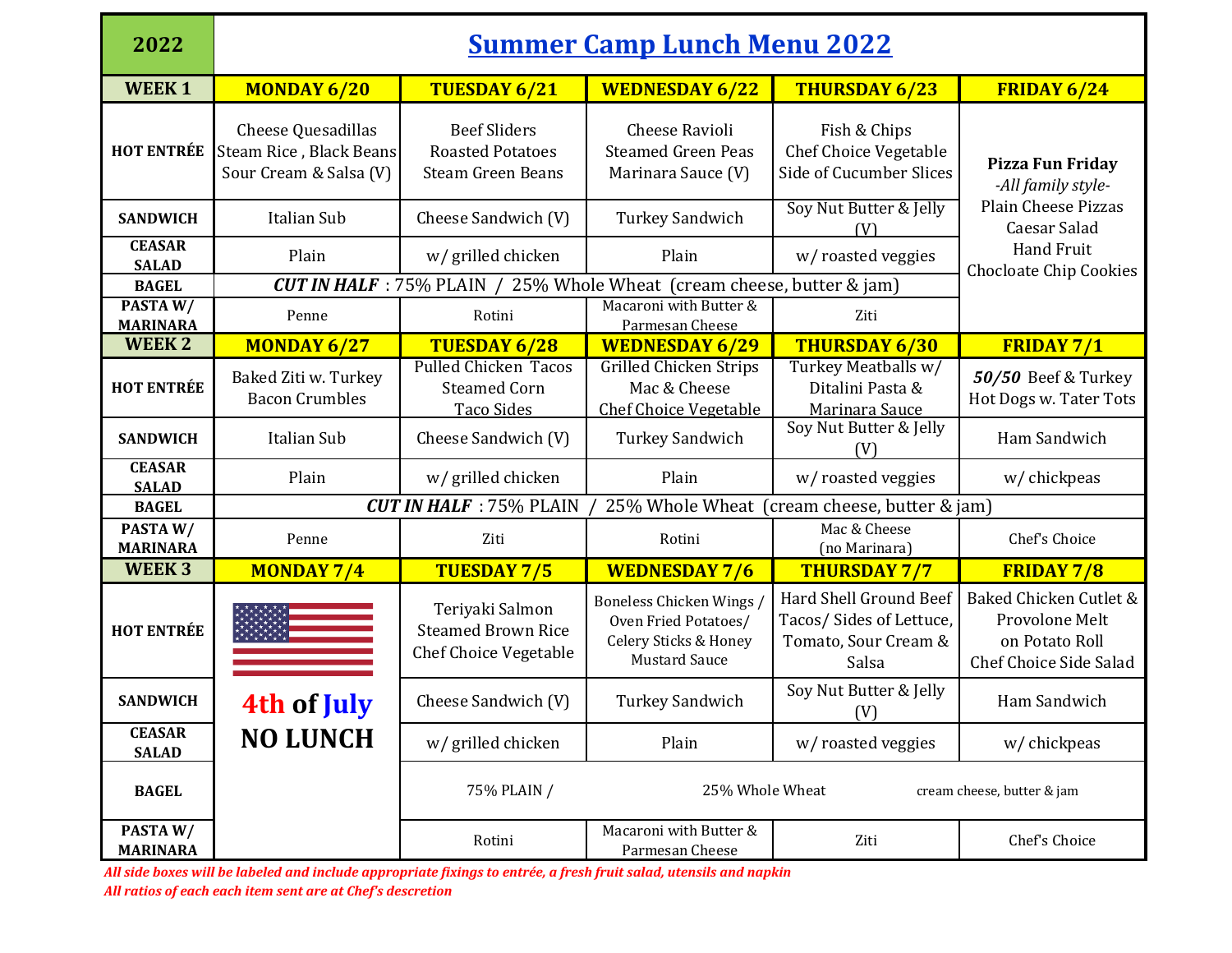| 2022                          | <b>Summer Camp Lunch Menu 2022</b>                                             |                                                                                   |                                                                                                 |                                                                                    |                                                                                      |  |  |
|-------------------------------|--------------------------------------------------------------------------------|-----------------------------------------------------------------------------------|-------------------------------------------------------------------------------------------------|------------------------------------------------------------------------------------|--------------------------------------------------------------------------------------|--|--|
| <b>WEEK1</b>                  | <b>MONDAY 6/20</b>                                                             | TUESDAY 6/21                                                                      | <b>WEDNESDAY 6/22</b>                                                                           | <b>THURSDAY 6/23</b>                                                               | FRIDAY 6/24                                                                          |  |  |
| <b>HOT ENTRÉE</b>             | <b>Cheese Quesadillas</b><br>Steam Rice, Black Beans<br>Sour Cream & Salsa (V) | <b>Beef Sliders</b><br><b>Roasted Potatoes</b><br><b>Steam Green Beans</b>        | <b>Cheese Ravioli</b><br><b>Steamed Green Peas</b><br>Marinara Sauce (V)                        | Fish & Chips<br><b>Chef Choice Vegetable</b><br>Side of Cucumber Slices            | Pizza Fun Friday<br>-All family style-                                               |  |  |
| <b>SANDWICH</b>               | Italian Sub                                                                    | Cheese Sandwich (V)                                                               | <b>Turkey Sandwich</b>                                                                          | Soy Nut Butter & Jelly<br>(V)                                                      | <b>Plain Cheese Pizzas</b><br>Caesar Salad                                           |  |  |
| <b>CEASAR</b><br><b>SALAD</b> | Plain                                                                          | w/ grilled chicken                                                                | Plain                                                                                           | w/ roasted veggies                                                                 | <b>Hand Fruit</b><br><b>Chocloate Chip Cookies</b>                                   |  |  |
| <b>BAGEL</b>                  |                                                                                | <b>CUT IN HALF</b> : 75% PLAIN / 25% Whole Wheat (cream cheese, butter $\&$ jam)  |                                                                                                 |                                                                                    |                                                                                      |  |  |
| PASTAW/<br><b>MARINARA</b>    | Penne                                                                          | Rotini                                                                            | Macaroni with Butter &<br>Parmesan Cheese                                                       | Ziti                                                                               |                                                                                      |  |  |
| <b>WEEK2</b>                  | <b>MONDAY 6/27</b>                                                             | <b>TUESDAY 6/28</b>                                                               | <b>WEDNESDAY 6/29</b>                                                                           | <b>THURSDAY 6/30</b>                                                               | <b>FRIDAY 7/1</b>                                                                    |  |  |
| <b>HOT ENTRÉE</b>             | Baked Ziti w. Turkey<br><b>Bacon Crumbles</b>                                  | <b>Pulled Chicken Tacos</b><br><b>Steamed Corn</b><br><b>Taco Sides</b>           | <b>Grilled Chicken Strips</b><br>Mac & Cheese<br><b>Chef Choice Vegetable</b>                   | Turkey Meatballs w/<br>Ditalini Pasta &<br>Marinara Sauce                          | 50/50 Beef & Turkey<br>Hot Dogs w. Tater Tots                                        |  |  |
| <b>SANDWICH</b>               | Italian Sub                                                                    | Cheese Sandwich (V)                                                               | <b>Turkey Sandwich</b>                                                                          | Soy Nut Butter & Jelly<br>(V)                                                      | Ham Sandwich                                                                         |  |  |
| <b>CEASAR</b><br><b>SALAD</b> | Plain                                                                          | w/ grilled chicken                                                                | Plain                                                                                           | w/ roasted veggies                                                                 | w/ chickpeas                                                                         |  |  |
| <b>BAGEL</b>                  |                                                                                | <b>CUT IN HALF</b> : 75% PLAIN<br>25% Whole Wheat<br>(cream cheese, butter & jam) |                                                                                                 |                                                                                    |                                                                                      |  |  |
| PASTAW/<br><b>MARINARA</b>    | Penne                                                                          | Ziti                                                                              | Rotini                                                                                          | Mac & Cheese<br>(no Marinara)                                                      | Chef's Choice                                                                        |  |  |
| WEEK <sub>3</sub>             | <b>MONDAY 7/4</b>                                                              | <b>TUESDAY 7/5</b>                                                                | <b>WEDNESDAY 7/6</b>                                                                            | <b>THURSDAY 7/7</b>                                                                | <b>FRIDAY 7/8</b>                                                                    |  |  |
| <b>HOT ENTRÉE</b>             |                                                                                | Teriyaki Salmon<br><b>Steamed Brown Rice</b><br><b>Chef Choice Vegetable</b>      | Boneless Chicken Wings<br>Oven Fried Potatoes/<br>Celery Sticks & Honey<br><b>Mustard Sauce</b> | Hard Shell Ground Beef<br>Tacos/Sides of Lettuce,<br>Tomato, Sour Cream &<br>Salsa | Baked Chicken Cutlet &<br>Provolone Melt<br>on Potato Roll<br>Chef Choice Side Salad |  |  |
| <b>SANDWICH</b>               | 4th of July                                                                    | Cheese Sandwich (V)                                                               | <b>Turkey Sandwich</b>                                                                          | Soy Nut Butter & Jelly<br>(V)                                                      | Ham Sandwich                                                                         |  |  |
| <b>CEASAR</b><br><b>SALAD</b> | <b>NO LUNCH</b>                                                                | w/ grilled chicken                                                                | Plain                                                                                           | w/roasted veggies                                                                  | w/ chickpeas                                                                         |  |  |
| <b>BAGEL</b>                  |                                                                                | 75% PLAIN /                                                                       | 25% Whole Wheat                                                                                 |                                                                                    | cream cheese, butter & jam                                                           |  |  |
| PASTAW/<br><b>MARINARA</b>    |                                                                                | Rotini                                                                            | Macaroni with Butter &<br>Parmesan Cheese                                                       | Ziti                                                                               | Chef's Choice                                                                        |  |  |

*All side boxes will be labeled and include appropriate fixings to entrée, a fresh fruit salad, utensils and napkin*

*All ratios of each each item sent are at Chef's descretion*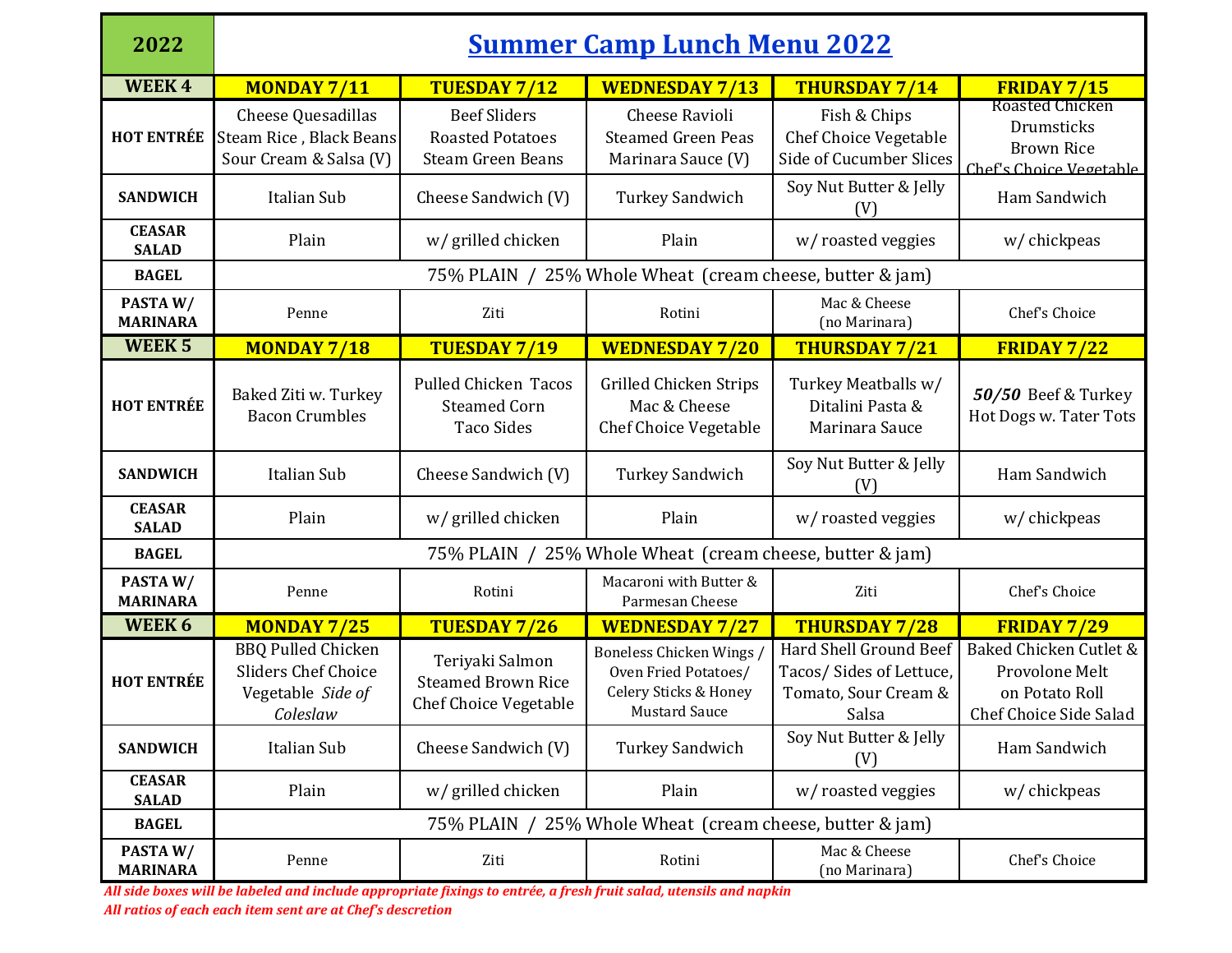| 2022                          | <u>Summer Camp Lunch Menu 2022</u>                                                       |                                                                              |                                                                                                 |                                                                                           |                                                                                      |  |  |
|-------------------------------|------------------------------------------------------------------------------------------|------------------------------------------------------------------------------|-------------------------------------------------------------------------------------------------|-------------------------------------------------------------------------------------------|--------------------------------------------------------------------------------------|--|--|
| <b>WEEK4</b>                  | MONDAY 7/11                                                                              | <b>TUESDAY 7/12</b>                                                          | <b>WEDNESDAY 7/13</b>                                                                           | <b>THURSDAY 7/14</b>                                                                      | <b>FRIDAY 7/15</b>                                                                   |  |  |
| <b>HOT ENTRÉE</b>             | Cheese Quesadillas<br>Steam Rice, Black Beans<br>Sour Cream & Salsa (V)                  | <b>Beef Sliders</b><br><b>Roasted Potatoes</b><br><b>Steam Green Beans</b>   | <b>Cheese Ravioli</b><br><b>Steamed Green Peas</b><br>Marinara Sauce (V)                        | Fish & Chips<br><b>Chef Choice Vegetable</b><br>Side of Cucumber Slices                   | <b>Roasted Chicken</b><br>Drumsticks<br><b>Brown Rice</b><br>Chef's Choice Vegetable |  |  |
| <b>SANDWICH</b>               | Italian Sub                                                                              | Cheese Sandwich (V)                                                          | <b>Turkey Sandwich</b>                                                                          | Soy Nut Butter & Jelly<br>(V)                                                             | Ham Sandwich                                                                         |  |  |
| <b>CEASAR</b><br><b>SALAD</b> | Plain                                                                                    | w/ grilled chicken                                                           | Plain                                                                                           | w/roasted veggies                                                                         | w/ chickpeas                                                                         |  |  |
| <b>BAGEL</b>                  | 75% PLAIN / 25% Whole Wheat (cream cheese, butter & jam)                                 |                                                                              |                                                                                                 |                                                                                           |                                                                                      |  |  |
| PASTAW/<br><b>MARINARA</b>    | Penne                                                                                    | Ziti                                                                         | Rotini                                                                                          | Mac & Cheese<br>(no Marinara)                                                             | Chef's Choice                                                                        |  |  |
| <b>WEEK 5</b>                 | MONDAY 7/18                                                                              | <b>TUESDAY 7/19</b>                                                          | <b>WEDNESDAY 7/20</b>                                                                           | <b>THURSDAY 7/21</b>                                                                      | <b>FRIDAY 7/22</b>                                                                   |  |  |
| <b>HOT ENTRÉE</b>             | Baked Ziti w. Turkey<br><b>Bacon Crumbles</b>                                            | <b>Pulled Chicken Tacos</b><br><b>Steamed Corn</b><br><b>Taco Sides</b>      | Grilled Chicken Strips<br>Mac & Cheese<br><b>Chef Choice Vegetable</b>                          | Turkey Meatballs w/<br>Ditalini Pasta &<br>Marinara Sauce                                 | 50/50 Beef & Turkey<br>Hot Dogs w. Tater Tots                                        |  |  |
| <b>SANDWICH</b>               | <b>Italian Sub</b>                                                                       | Cheese Sandwich (V)                                                          | <b>Turkey Sandwich</b>                                                                          | Soy Nut Butter & Jelly<br>(V)                                                             | Ham Sandwich                                                                         |  |  |
| <b>CEASAR</b><br><b>SALAD</b> | Plain                                                                                    | w/ grilled chicken                                                           | Plain                                                                                           | w/roasted veggies                                                                         | w/ chickpeas                                                                         |  |  |
| <b>BAGEL</b>                  | 75% PLAIN / 25% Whole Wheat (cream cheese, butter & jam)                                 |                                                                              |                                                                                                 |                                                                                           |                                                                                      |  |  |
| PASTAW/<br><b>MARINARA</b>    | Penne                                                                                    | Rotini                                                                       | Macaroni with Butter &<br>Parmesan Cheese                                                       | Ziti                                                                                      | Chef's Choice                                                                        |  |  |
| WEEK 6                        | <b>MONDAY 7/25</b>                                                                       | <b>TUESDAY 7/26</b>                                                          | <b>WEDNESDAY 7/27</b>                                                                           | <b>THURSDAY 7/28</b>                                                                      | <b>FRIDAY 7/29</b>                                                                   |  |  |
| <b>HOT ENTRÉE</b>             | <b>BBQ Pulled Chicken</b><br><b>Sliders Chef Choice</b><br>Vegetable Side of<br>Coleslaw | Teriyaki Salmon<br><b>Steamed Brown Rice</b><br><b>Chef Choice Vegetable</b> | Boneless Chicken Wings<br>Oven Fried Potatoes/<br>Celery Sticks & Honey<br><b>Mustard Sauce</b> | <b>Hard Shell Ground Beef</b><br>Tacos/Sides of Lettuce,<br>Tomato, Sour Cream &<br>Salsa | Baked Chicken Cutlet &<br>Provolone Melt<br>on Potato Roll<br>Chef Choice Side Salad |  |  |
| <b>SANDWICH</b>               | Italian Sub                                                                              | Cheese Sandwich (V)                                                          | <b>Turkey Sandwich</b>                                                                          | Soy Nut Butter & Jelly<br>(V)                                                             | Ham Sandwich                                                                         |  |  |
| <b>CEASAR</b><br><b>SALAD</b> | Plain                                                                                    | w/ grilled chicken                                                           | Plain                                                                                           | w/roasted veggies                                                                         | w/ chickpeas                                                                         |  |  |
| <b>BAGEL</b>                  | 75% PLAIN / 25% Whole Wheat (cream cheese, butter & jam)                                 |                                                                              |                                                                                                 |                                                                                           |                                                                                      |  |  |
| PASTAW/<br><b>MARINARA</b>    | Penne                                                                                    | Ziti                                                                         | Rotini                                                                                          | Mac & Cheese<br>(no Marinara)                                                             | Chef's Choice                                                                        |  |  |

*All side boxes will be labeled and include appropriate fixings to entrée, a fresh fruit salad, utensils and napkin All ratios of each each item sent are at Chef's descretion*